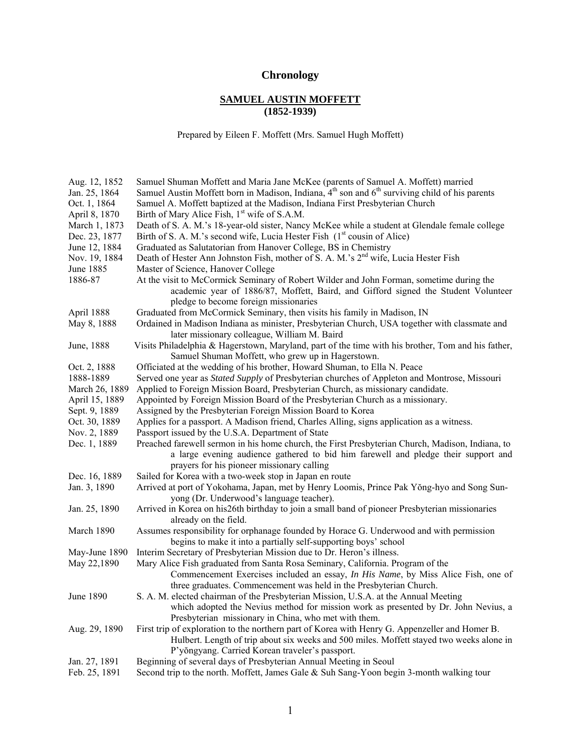## **Chronology**

## **SAMUEL AUSTIN MOFFETT (1852-1939)**

Prepared by Eileen F. Moffett (Mrs. Samuel Hugh Moffett)

| Aug. 12, 1852  | Samuel Shuman Moffett and Maria Jane McKee (parents of Samuel A. Moffett) married                  |
|----------------|----------------------------------------------------------------------------------------------------|
| Jan. 25, 1864  | Samuel Austin Moffett born in Madison, Indiana, $4th$ son and $6th$ surviving child of his parents |
| Oct. 1, 1864   | Samuel A. Moffett baptized at the Madison, Indiana First Presbyterian Church                       |
| April 8, 1870  | Birth of Mary Alice Fish, 1 <sup>st</sup> wife of S.A.M.                                           |
| March 1, 1873  | Death of S. A. M.'s 18-year-old sister, Nancy McKee while a student at Glendale female college     |
| Dec. 23, 1877  | Birth of S. A. M.'s second wife, Lucia Hester Fish (1 <sup>st</sup> cousin of Alice)               |
| June 12, 1884  | Graduated as Salutatorian from Hanover College, BS in Chemistry                                    |
| Nov. 19, 1884  | Death of Hester Ann Johnston Fish, mother of S. A. M.'s 2 <sup>nd</sup> wife, Lucia Hester Fish    |
| June 1885      | Master of Science, Hanover College                                                                 |
| 1886-87        | At the visit to McCormick Seminary of Robert Wilder and John Forman, sometime during the           |
|                | academic year of 1886/87, Moffett, Baird, and Gifford signed the Student Volunteer                 |
|                | pledge to become foreign missionaries                                                              |
| April 1888     | Graduated from McCormick Seminary, then visits his family in Madison, IN                           |
| May 8, 1888    | Ordained in Madison Indiana as minister, Presbyterian Church, USA together with classmate and      |
|                | later missionary colleague, William M. Baird                                                       |
| June, 1888     | Visits Philadelphia & Hagerstown, Maryland, part of the time with his brother, Tom and his father, |
|                | Samuel Shuman Moffett, who grew up in Hagerstown.                                                  |
| Oct. 2, 1888   | Officiated at the wedding of his brother, Howard Shuman, to Ella N. Peace                          |
| 1888-1889      | Served one year as Stated Supply of Presbyterian churches of Appleton and Montrose, Missouri       |
| March 26, 1889 | Applied to Foreign Mission Board, Presbyterian Church, as missionary candidate.                    |
| April 15, 1889 | Appointed by Foreign Mission Board of the Presbyterian Church as a missionary.                     |
| Sept. 9, 1889  | Assigned by the Presbyterian Foreign Mission Board to Korea                                        |
| Oct. 30, 1889  | Applies for a passport. A Madison friend, Charles Alling, signs application as a witness.          |
| Nov. 2, 1889   | Passport issued by the U.S.A. Department of State                                                  |
| Dec. 1, 1889   | Preached farewell sermon in his home church, the First Presbyterian Church, Madison, Indiana, to   |
|                | a large evening audience gathered to bid him farewell and pledge their support and                 |
|                | prayers for his pioneer missionary calling                                                         |
| Dec. 16, 1889  | Sailed for Korea with a two-week stop in Japan en route                                            |
| Jan. 3, 1890   | Arrived at port of Yokohama, Japan, met by Henry Loomis, Prince Pak Yŏng-hyo and Song Sun-         |
|                | yong (Dr. Underwood's language teacher).                                                           |
| Jan. 25, 1890  | Arrived in Korea on his 26th birthday to join a small band of pioneer Presbyterian missionaries    |
|                | already on the field.                                                                              |
| March 1890     | Assumes responsibility for orphanage founded by Horace G. Underwood and with permission            |
|                | begins to make it into a partially self-supporting boys' school                                    |
| May-June 1890  | Interim Secretary of Presbyterian Mission due to Dr. Heron's illness.                              |
| May 22,1890    | Mary Alice Fish graduated from Santa Rosa Seminary, California. Program of the                     |
|                | Commencement Exercises included an essay, In His Name, by Miss Alice Fish, one of                  |
|                | three graduates. Commencement was held in the Presbyterian Church.                                 |
| June 1890      | S. A. M. elected chairman of the Presbyterian Mission, U.S.A. at the Annual Meeting                |
|                | which adopted the Nevius method for mission work as presented by Dr. John Nevius, a                |
|                | Presbyterian missionary in China, who met with them.                                               |
| Aug. 29, 1890  | First trip of exploration to the northern part of Korea with Henry G. Appenzeller and Homer B.     |
|                | Hulbert. Length of trip about six weeks and 500 miles. Moffett stayed two weeks alone in           |
|                | P'yŏngyang. Carried Korean traveler's passport.                                                    |
| Jan. 27, 1891  | Beginning of several days of Presbyterian Annual Meeting in Seoul                                  |
| Feb. 25, 1891  | Second trip to the north. Moffett, James Gale & Suh Sang-Yoon begin 3-month walking tour           |
|                |                                                                                                    |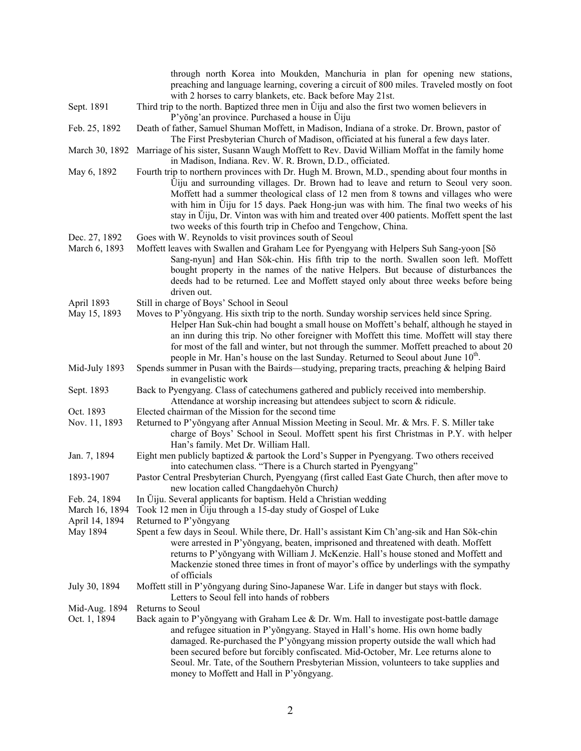|                | through north Korea into Moukden, Manchuria in plan for opening new stations,                                                                                                                                                                                                                                                                                                                                                                                                                                                       |
|----------------|-------------------------------------------------------------------------------------------------------------------------------------------------------------------------------------------------------------------------------------------------------------------------------------------------------------------------------------------------------------------------------------------------------------------------------------------------------------------------------------------------------------------------------------|
|                | preaching and language learning, covering a circuit of 800 miles. Traveled mostly on foot                                                                                                                                                                                                                                                                                                                                                                                                                                           |
|                | with 2 horses to carry blankets, etc. Back before May 21st.                                                                                                                                                                                                                                                                                                                                                                                                                                                                         |
| Sept. 1891     | Third trip to the north. Baptized three men in Uiju and also the first two women believers in<br>P'yong'an province. Purchased a house in Uiju                                                                                                                                                                                                                                                                                                                                                                                      |
| Feb. 25, 1892  | Death of father, Samuel Shuman Moffett, in Madison, Indiana of a stroke. Dr. Brown, pastor of                                                                                                                                                                                                                                                                                                                                                                                                                                       |
|                | The First Presbyterian Church of Madison, officiated at his funeral a few days later.                                                                                                                                                                                                                                                                                                                                                                                                                                               |
| March 30, 1892 | Marriage of his sister, Susann Waugh Moffett to Rev. David William Moffat in the family home<br>in Madison, Indiana. Rev. W. R. Brown, D.D., officiated.                                                                                                                                                                                                                                                                                                                                                                            |
| May 6, 1892    | Fourth trip to northern provinces with Dr. Hugh M. Brown, M.D., spending about four months in<br>Uiju and surrounding villages. Dr. Brown had to leave and return to Seoul very soon.<br>Moffett had a summer theological class of 12 men from 8 towns and villages who were<br>with him in Ujju for 15 days. Paek Hong-jun was with him. The final two weeks of his<br>stay in Uiju, Dr. Vinton was with him and treated over 400 patients. Moffett spent the last<br>two weeks of this fourth trip in Chefoo and Tengchow, China. |
| Dec. 27, 1892  | Goes with W. Reynolds to visit provinces south of Seoul                                                                                                                                                                                                                                                                                                                                                                                                                                                                             |
| March 6, 1893  | Moffett leaves with Swallen and Graham Lee for Pyengyang with Helpers Suh Sang-yoon [Sŏ<br>Sang-nyun] and Han Sŏk-chin. His fifth trip to the north. Swallen soon left. Moffett<br>bought property in the names of the native Helpers. But because of disturbances the<br>deeds had to be returned. Lee and Moffett stayed only about three weeks before being<br>driven out.                                                                                                                                                       |
| April 1893     | Still in charge of Boys' School in Seoul                                                                                                                                                                                                                                                                                                                                                                                                                                                                                            |
| May 15, 1893   | Moves to P'yongyang. His sixth trip to the north. Sunday worship services held since Spring.                                                                                                                                                                                                                                                                                                                                                                                                                                        |
|                | Helper Han Suk-chin had bought a small house on Moffett's behalf, although he stayed in<br>an inn during this trip. No other foreigner with Moffett this time. Moffett will stay there<br>for most of the fall and winter, but not through the summer. Moffett preached to about 20<br>people in Mr. Han's house on the last Sunday. Returned to Seoul about June 10 <sup>th</sup> .                                                                                                                                                |
| Mid-July 1893  | Spends summer in Pusan with the Bairds—studying, preparing tracts, preaching $\&$ helping Baird                                                                                                                                                                                                                                                                                                                                                                                                                                     |
|                | in evangelistic work                                                                                                                                                                                                                                                                                                                                                                                                                                                                                                                |
| Sept. 1893     | Back to Pyengyang. Class of catechumens gathered and publicly received into membership.<br>Attendance at worship increasing but attendees subject to scorn & ridicule.                                                                                                                                                                                                                                                                                                                                                              |
| Oct. 1893      | Elected chairman of the Mission for the second time                                                                                                                                                                                                                                                                                                                                                                                                                                                                                 |
| Nov. 11, 1893  | Returned to P'yongyang after Annual Mission Meeting in Seoul. Mr. & Mrs. F. S. Miller take                                                                                                                                                                                                                                                                                                                                                                                                                                          |
|                | charge of Boys' School in Seoul. Moffett spent his first Christmas in P.Y. with helper<br>Han's family. Met Dr. William Hall.                                                                                                                                                                                                                                                                                                                                                                                                       |
| Jan. 7, 1894   | Eight men publicly baptized $\&$ partook the Lord's Supper in Pyengyang. Two others received                                                                                                                                                                                                                                                                                                                                                                                                                                        |
|                | into catechumen class. "There is a Church started in Pyengyang"                                                                                                                                                                                                                                                                                                                                                                                                                                                                     |
| 1893-1907      | Pastor Central Presbyterian Church, Pyengyang (first called East Gate Church, then after move to<br>new location called Changdaehyŏn Church)                                                                                                                                                                                                                                                                                                                                                                                        |
| Feb. 24, 1894  | In Ŭiju. Several applicants for baptism. Held a Christian wedding                                                                                                                                                                                                                                                                                                                                                                                                                                                                   |
| March 16, 1894 | Took 12 men in Uiju through a 15-day study of Gospel of Luke                                                                                                                                                                                                                                                                                                                                                                                                                                                                        |
| April 14, 1894 | Returned to P'yongyang                                                                                                                                                                                                                                                                                                                                                                                                                                                                                                              |
| May 1894       | Spent a few days in Seoul. While there, Dr. Hall's assistant Kim Ch'ang-sik and Han Sŏk-chin<br>were arrested in P'yongyang, beaten, imprisoned and threatened with death. Moffett<br>returns to P'yongyang with William J. McKenzie. Hall's house stoned and Moffett and<br>Mackenzie stoned three times in front of mayor's office by underlings with the sympathy<br>of officials                                                                                                                                                |
| July 30, 1894  | Moffett still in P'yongyang during Sino-Japanese War. Life in danger but stays with flock.<br>Letters to Seoul fell into hands of robbers                                                                                                                                                                                                                                                                                                                                                                                           |
| Mid-Aug. 1894  | Returns to Seoul                                                                                                                                                                                                                                                                                                                                                                                                                                                                                                                    |
| Oct. 1, 1894   | Back again to P'yongyang with Graham Lee & Dr. Wm. Hall to investigate post-battle damage<br>and refugee situation in P'yongyang. Stayed in Hall's home. His own home badly<br>damaged. Re-purchased the P'yongyang mission property outside the wall which had<br>been secured before but forcibly confiscated. Mid-October, Mr. Lee returns alone to<br>Seoul. Mr. Tate, of the Southern Presbyterian Mission, volunteers to take supplies and<br>money to Moffett and Hall in P'yongyang.                                        |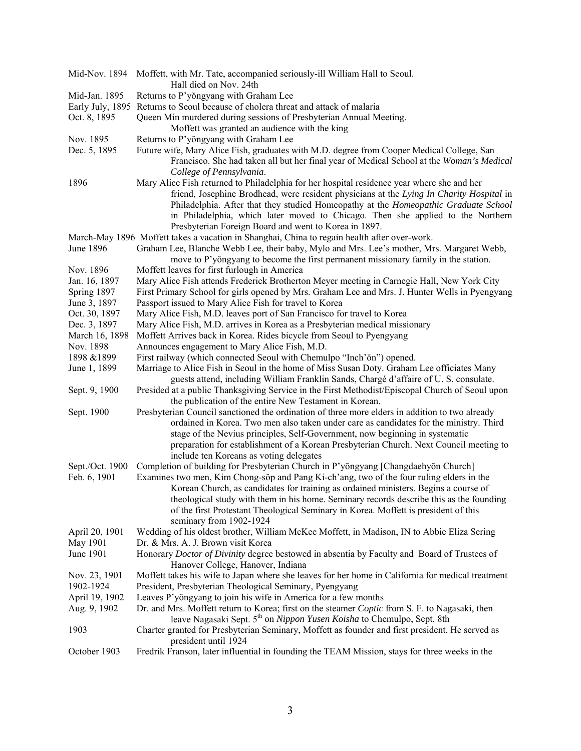|                  | Mid-Nov. 1894 Moffett, with Mr. Tate, accompanied seriously-ill William Hall to Seoul.                                                                                              |
|------------------|-------------------------------------------------------------------------------------------------------------------------------------------------------------------------------------|
|                  | Hall died on Nov. 24th                                                                                                                                                              |
| Mid-Jan. 1895    | Returns to P'yongyang with Graham Lee                                                                                                                                               |
| Early July, 1895 | Returns to Seoul because of cholera threat and attack of malaria                                                                                                                    |
| Oct. 8, 1895     | Queen Min murdered during sessions of Presbyterian Annual Meeting.                                                                                                                  |
|                  | Moffett was granted an audience with the king                                                                                                                                       |
| Nov. 1895        | Returns to P'yongyang with Graham Lee                                                                                                                                               |
| Dec. 5, 1895     | Future wife, Mary Alice Fish, graduates with M.D. degree from Cooper Medical College, San                                                                                           |
|                  | Francisco. She had taken all but her final year of Medical School at the Woman's Medical<br>College of Pennsylvania.                                                                |
| 1896             | Mary Alice Fish returned to Philadelphia for her hospital residence year where she and her                                                                                          |
|                  | friend, Josephine Brodhead, were resident physicians at the Lying In Charity Hospital in                                                                                            |
|                  | Philadelphia. After that they studied Homeopathy at the Homeopathic Graduate School                                                                                                 |
|                  | in Philadelphia, which later moved to Chicago. Then she applied to the Northern                                                                                                     |
|                  | Presbyterian Foreign Board and went to Korea in 1897.                                                                                                                               |
|                  | March-May 1896 Moffett takes a vacation in Shanghai, China to regain health after over-work.                                                                                        |
| June 1896        | Graham Lee, Blanche Webb Lee, their baby, Mylo and Mrs. Lee's mother, Mrs. Margaret Webb,                                                                                           |
|                  | move to P'yongyang to become the first permanent missionary family in the station.                                                                                                  |
| Nov. 1896        | Moffett leaves for first furlough in America                                                                                                                                        |
| Jan. 16, 1897    | Mary Alice Fish attends Frederick Brotherton Meyer meeting in Carnegie Hall, New York City                                                                                          |
| Spring 1897      | First Primary School for girls opened by Mrs. Graham Lee and Mrs. J. Hunter Wells in Pyengyang                                                                                      |
| June 3, 1897     | Passport issued to Mary Alice Fish for travel to Korea                                                                                                                              |
| Oct. 30, 1897    | Mary Alice Fish, M.D. leaves port of San Francisco for travel to Korea                                                                                                              |
| Dec. 3, 1897     | Mary Alice Fish, M.D. arrives in Korea as a Presbyterian medical missionary                                                                                                         |
| March 16, 1898   | Moffett Arrives back in Korea. Rides bicycle from Seoul to Pyengyang                                                                                                                |
| Nov. 1898        | Announces engagement to Mary Alice Fish, M.D.                                                                                                                                       |
| 1898 & 1899      | First railway (which connected Seoul with Chemulpo "Inch'ŏn") opened.                                                                                                               |
| June 1, 1899     | Marriage to Alice Fish in Seoul in the home of Miss Susan Doty. Graham Lee officiates Many<br>guests attend, including William Franklin Sands, Chargé d'affaire of U. S. consulate. |
| Sept. 9, 1900    | Presided at a public Thanksgiving Service in the First Methodist/Episcopal Church of Seoul upon                                                                                     |
|                  | the publication of the entire New Testament in Korean.                                                                                                                              |
| Sept. 1900       | Presbyterian Council sanctioned the ordination of three more elders in addition to two already                                                                                      |
|                  | ordained in Korea. Two men also taken under care as candidates for the ministry. Third                                                                                              |
|                  | stage of the Nevius principles, Self-Government, now beginning in systematic                                                                                                        |
|                  | preparation for establishment of a Korean Presbyterian Church. Next Council meeting to                                                                                              |
|                  | include ten Koreans as voting delegates                                                                                                                                             |
| Sept./Oct. 1900  | Completion of building for Presbyterian Church in P'yongyang [Changdaehyon Church]                                                                                                  |
| Feb. 6, 1901     | Examines two men, Kim Chong-sŏp and Pang Ki-ch'ang, two of the four ruling elders in the                                                                                            |
|                  | Korean Church, as candidates for training as ordained ministers. Begins a course of                                                                                                 |
|                  | theological study with them in his home. Seminary records describe this as the founding                                                                                             |
|                  | of the first Protestant Theological Seminary in Korea. Moffett is president of this<br>seminary from 1902-1924                                                                      |
| April 20, 1901   | Wedding of his oldest brother, William McKee Moffett, in Madison, IN to Abbie Eliza Sering                                                                                          |
| May 1901         | Dr. & Mrs. A. J. Brown visit Korea                                                                                                                                                  |
| June 1901        | Honorary Doctor of Divinity degree bestowed in absentia by Faculty and Board of Trustees of                                                                                         |
|                  | Hanover College, Hanover, Indiana                                                                                                                                                   |
| Nov. 23, 1901    | Moffett takes his wife to Japan where she leaves for her home in California for medical treatment                                                                                   |
| 1902-1924        | President, Presbyterian Theological Seminary, Pyengyang                                                                                                                             |
| April 19, 1902   | Leaves P'yongyang to join his wife in America for a few months                                                                                                                      |
| Aug. 9, 1902     | Dr. and Mrs. Moffett return to Korea; first on the steamer Coptic from S. F. to Nagasaki, then                                                                                      |
|                  | leave Nagasaki Sept. 5 <sup>th</sup> on Nippon Yusen Koisha to Chemulpo, Sept. 8th                                                                                                  |
| 1903             | Charter granted for Presbyterian Seminary, Moffett as founder and first president. He served as<br>president until 1924                                                             |
| October 1903     | Fredrik Franson, later influential in founding the TEAM Mission, stays for three weeks in the                                                                                       |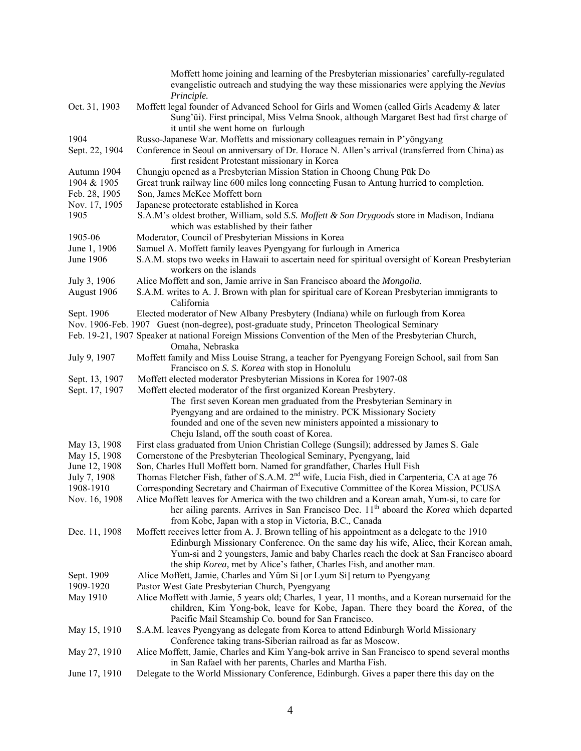|                | Moffett home joining and learning of the Presbyterian missionaries' carefully-regulated<br>evangelistic outreach and studying the way these missionaries were applying the Nevius                                           |
|----------------|-----------------------------------------------------------------------------------------------------------------------------------------------------------------------------------------------------------------------------|
|                | Principle.                                                                                                                                                                                                                  |
| Oct. 31, 1903  | Moffett legal founder of Advanced School for Girls and Women (called Girls Academy & later<br>Sung'ŭi). First principal, Miss Velma Snook, although Margaret Best had first charge of<br>it until she went home on furlough |
| 1904           | Russo-Japanese War. Moffetts and missionary colleagues remain in P'yongyang                                                                                                                                                 |
| Sept. 22, 1904 | Conference in Seoul on anniversary of Dr. Horace N. Allen's arrival (transferred from China) as<br>first resident Protestant missionary in Korea                                                                            |
| Autumn 1904    | Chungju opened as a Presbyterian Mission Station in Choong Chung Pūk Do                                                                                                                                                     |
| 1904 & 1905    | Great trunk railway line 600 miles long connecting Fusan to Antung hurried to completion.                                                                                                                                   |
| Feb. 28, 1905  | Son, James McKee Moffett born                                                                                                                                                                                               |
| Nov. 17, 1905  | Japanese protectorate established in Korea                                                                                                                                                                                  |
| 1905           | S.A.M's oldest brother, William, sold S.S. Moffett & Son Drygoods store in Madison, Indiana<br>which was established by their father                                                                                        |
| 1905-06        | Moderator, Council of Presbyterian Missions in Korea                                                                                                                                                                        |
| June 1, 1906   | Samuel A. Moffett family leaves Pyengyang for furlough in America                                                                                                                                                           |
| June 1906      | S.A.M. stops two weeks in Hawaii to ascertain need for spiritual oversight of Korean Presbyterian                                                                                                                           |
|                | workers on the islands                                                                                                                                                                                                      |
| July 3, 1906   | Alice Moffett and son, Jamie arrive in San Francisco aboard the Mongolia.                                                                                                                                                   |
| August 1906    | S.A.M. writes to A. J. Brown with plan for spiritual care of Korean Presbyterian immigrants to<br>California                                                                                                                |
| Sept. 1906     | Elected moderator of New Albany Presbytery (Indiana) while on furlough from Korea                                                                                                                                           |
|                | Nov. 1906-Feb. 1907 Guest (non-degree), post-graduate study, Princeton Theological Seminary                                                                                                                                 |
|                | Feb. 19-21, 1907 Speaker at national Foreign Missions Convention of the Men of the Presbyterian Church,<br>Omaha, Nebraska                                                                                                  |
| July 9, 1907   | Moffett family and Miss Louise Strang, a teacher for Pyengyang Foreign School, sail from San                                                                                                                                |
|                | Francisco on S. S. Korea with stop in Honolulu                                                                                                                                                                              |
| Sept. 13, 1907 | Moffett elected moderator Presbyterian Missions in Korea for 1907-08                                                                                                                                                        |
| Sept. 17, 1907 | Moffett elected moderator of the first organized Korean Presbytery.                                                                                                                                                         |
|                | The first seven Korean men graduated from the Presbyterian Seminary in                                                                                                                                                      |
|                | Pyengyang and are ordained to the ministry. PCK Missionary Society                                                                                                                                                          |
|                | founded and one of the seven new ministers appointed a missionary to                                                                                                                                                        |
|                | Cheju Island, off the south coast of Korea.                                                                                                                                                                                 |
| May 13, 1908   | First class graduated from Union Christian College (Sungsil); addressed by James S. Gale                                                                                                                                    |
| May 15, 1908   | Cornerstone of the Presbyterian Theological Seminary, Pyengyang, laid                                                                                                                                                       |
| June 12, 1908  | Son, Charles Hull Moffett born. Named for grandfather, Charles Hull Fish                                                                                                                                                    |
| July 7, 1908   | Thomas Fletcher Fish, father of S.A.M. 2 <sup>nd</sup> wife, Lucia Fish, died in Carpenteria, CA at age 76                                                                                                                  |
| 1908-1910      | Corresponding Secretary and Chairman of Executive Committee of the Korea Mission, PCUSA<br>Alice Moffett leaves for America with the two children and a Korean amah, Yum-si, to care for                                    |
| Nov. 16, 1908  |                                                                                                                                                                                                                             |
|                | her ailing parents. Arrives in San Francisco Dec. 11 <sup>th</sup> aboard the <i>Korea</i> which departed                                                                                                                   |
| Dec. 11, 1908  | from Kobe, Japan with a stop in Victoria, B.C., Canada<br>Moffett receives letter from A. J. Brown telling of his appointment as a delegate to the 1910                                                                     |
|                | Edinburgh Missionary Conference. On the same day his wife, Alice, their Korean amah,<br>Yum-si and 2 youngsters, Jamie and baby Charles reach the dock at San Francisco aboard                                              |
|                | the ship Korea, met by Alice's father, Charles Fish, and another man.                                                                                                                                                       |
| Sept. 1909     | Alice Moffett, Jamie, Charles and Yŭm Si [or Lyum Si] return to Pyengyang                                                                                                                                                   |
| 1909-1920      | Pastor West Gate Presbyterian Church, Pyengyang                                                                                                                                                                             |
| May 1910       | Alice Moffett with Jamie, 5 years old; Charles, 1 year, 11 months, and a Korean nursemaid for the                                                                                                                           |
|                | children, Kim Yong-bok, leave for Kobe, Japan. There they board the Korea, of the                                                                                                                                           |
|                | Pacific Mail Steamship Co. bound for San Francisco.                                                                                                                                                                         |
| May 15, 1910   | S.A.M. leaves Pyengyang as delegate from Korea to attend Edinburgh World Missionary                                                                                                                                         |
| May 27, 1910   | Conference taking trans-Siberian railroad as far as Moscow.                                                                                                                                                                 |
|                | Alice Moffett, Jamie, Charles and Kim Yang-bok arrive in San Francisco to spend several months<br>in San Rafael with her parents, Charles and Martha Fish.                                                                  |
| June 17, 1910  | Delegate to the World Missionary Conference, Edinburgh. Gives a paper there this day on the                                                                                                                                 |
|                |                                                                                                                                                                                                                             |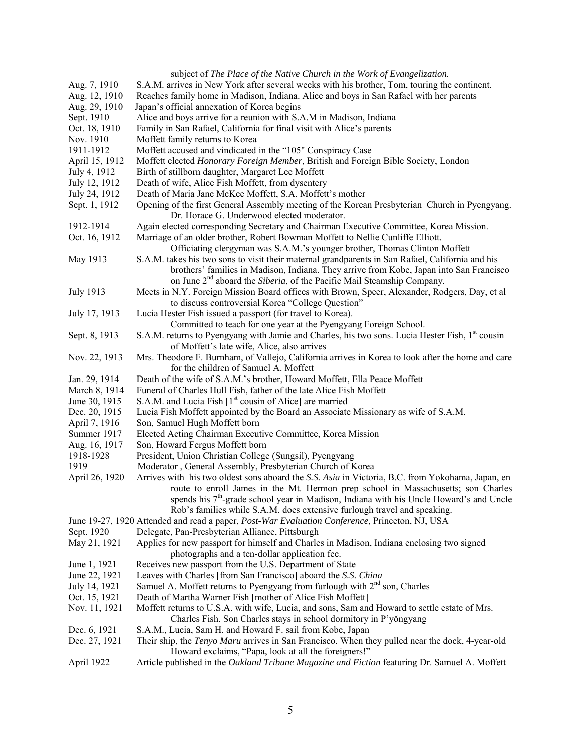|                  | subject of The Place of the Native Church in the Work of Evangelization.                                                                                                                                                                                                          |
|------------------|-----------------------------------------------------------------------------------------------------------------------------------------------------------------------------------------------------------------------------------------------------------------------------------|
| Aug. 7, 1910     | S.A.M. arrives in New York after several weeks with his brother, Tom, touring the continent.                                                                                                                                                                                      |
| Aug. 12, 1910    | Reaches family home in Madison, Indiana. Alice and boys in San Rafael with her parents                                                                                                                                                                                            |
| Aug. 29, 1910    | Japan's official annexation of Korea begins                                                                                                                                                                                                                                       |
| Sept. 1910       | Alice and boys arrive for a reunion with S.A.M in Madison, Indiana                                                                                                                                                                                                                |
| Oct. 18, 1910    | Family in San Rafael, California for final visit with Alice's parents                                                                                                                                                                                                             |
| Nov. 1910        | Moffett family returns to Korea                                                                                                                                                                                                                                                   |
| 1911-1912        | Moffett accused and vindicated in the "105" Conspiracy Case                                                                                                                                                                                                                       |
| April 15, 1912   | Moffett elected Honorary Foreign Member, British and Foreign Bible Society, London                                                                                                                                                                                                |
| July 4, 1912     | Birth of stillborn daughter, Margaret Lee Moffett                                                                                                                                                                                                                                 |
| July 12, 1912    | Death of wife, Alice Fish Moffett, from dysentery                                                                                                                                                                                                                                 |
| July 24, 1912    | Death of Maria Jane McKee Moffett, S.A. Moffett's mother                                                                                                                                                                                                                          |
| Sept. 1, 1912    | Opening of the first General Assembly meeting of the Korean Presbyterian Church in Pyengyang.<br>Dr. Horace G. Underwood elected moderator.                                                                                                                                       |
| 1912-1914        | Again elected corresponding Secretary and Chairman Executive Committee, Korea Mission.                                                                                                                                                                                            |
| Oct. 16, 1912    | Marriage of an older brother, Robert Bowman Moffett to Nellie Cunliffe Elliott.<br>Officiating clergyman was S.A.M.'s younger brother, Thomas Clinton Moffett                                                                                                                     |
| May 1913         | S.A.M. takes his two sons to visit their maternal grandparents in San Rafael, California and his<br>brothers' families in Madison, Indiana. They arrive from Kobe, Japan into San Francisco<br>on June 2 <sup>nd</sup> aboard the Siberia, of the Pacific Mail Steamship Company. |
| <b>July 1913</b> | Meets in N.Y. Foreign Mission Board offices with Brown, Speer, Alexander, Rodgers, Day, et al.<br>to discuss controversial Korea "College Question"                                                                                                                               |
| July 17, 1913    | Lucia Hester Fish issued a passport (for travel to Korea).                                                                                                                                                                                                                        |
|                  | Committed to teach for one year at the Pyengyang Foreign School.                                                                                                                                                                                                                  |
| Sept. 8, 1913    | S.A.M. returns to Pyengyang with Jamie and Charles, his two sons. Lucia Hester Fish, 1st cousin<br>of Moffett's late wife, Alice, also arrives                                                                                                                                    |
| Nov. 22, 1913    | Mrs. Theodore F. Burnham, of Vallejo, California arrives in Korea to look after the home and care                                                                                                                                                                                 |
|                  | for the children of Samuel A. Moffett                                                                                                                                                                                                                                             |
| Jan. 29, 1914    | Death of the wife of S.A.M.'s brother, Howard Moffett, Ella Peace Moffett                                                                                                                                                                                                         |
| March 8, 1914    | Funeral of Charles Hull Fish, father of the late Alice Fish Moffett                                                                                                                                                                                                               |
| June 30, 1915    | S.A.M. and Lucia Fish [1 <sup>st</sup> cousin of Alice] are married                                                                                                                                                                                                               |
| Dec. 20, 1915    | Lucia Fish Moffett appointed by the Board an Associate Missionary as wife of S.A.M.                                                                                                                                                                                               |
| April 7, 1916    | Son, Samuel Hugh Moffett born                                                                                                                                                                                                                                                     |
| Summer 1917      | Elected Acting Chairman Executive Committee, Korea Mission                                                                                                                                                                                                                        |
| Aug. 16, 1917    | Son, Howard Fergus Moffett born                                                                                                                                                                                                                                                   |
| 1918-1928        | President, Union Christian College (Sungsil), Pyengyang                                                                                                                                                                                                                           |
| 1919             | Moderator, General Assembly, Presbyterian Church of Korea                                                                                                                                                                                                                         |
| April 26, 1920   | Arrives with his two oldest sons aboard the S.S. Asia in Victoria, B.C. from Yokohama, Japan, en                                                                                                                                                                                  |
|                  | route to enroll James in the Mt. Hermon prep school in Massachusetts; son Charles<br>spends his 7 <sup>th</sup> -grade school year in Madison, Indiana with his Uncle Howard's and Uncle<br>Rob's families while S.A.M. does extensive furlough travel and speaking.              |
|                  | June 19-27, 1920 Attended and read a paper, Post-War Evaluation Conference, Princeton, NJ, USA                                                                                                                                                                                    |
| Sept. 1920       | Delegate, Pan-Presbyterian Alliance, Pittsburgh                                                                                                                                                                                                                                   |
| May 21, 1921     | Applies for new passport for himself and Charles in Madison, Indiana enclosing two signed                                                                                                                                                                                         |
|                  | photographs and a ten-dollar application fee.                                                                                                                                                                                                                                     |
| June 1, 1921     | Receives new passport from the U.S. Department of State                                                                                                                                                                                                                           |
| June 22, 1921    | Leaves with Charles [from San Francisco] aboard the S.S. China                                                                                                                                                                                                                    |
| July 14, 1921    | Samuel A. Moffett returns to Pyengyang from furlough with $2nd$ son, Charles                                                                                                                                                                                                      |
| Oct. 15, 1921    | Death of Martha Warner Fish [mother of Alice Fish Moffett]                                                                                                                                                                                                                        |
| Nov. 11, 1921    | Moffett returns to U.S.A. with wife, Lucia, and sons, Sam and Howard to settle estate of Mrs.                                                                                                                                                                                     |
|                  | Charles Fish. Son Charles stays in school dormitory in P'yongyang                                                                                                                                                                                                                 |
| Dec. 6, 1921     | S.A.M., Lucia, Sam H. and Howard F. sail from Kobe, Japan                                                                                                                                                                                                                         |
| Dec. 27, 1921    | Their ship, the <i>Tenyo Maru</i> arrives in San Francisco. When they pulled near the dock, 4-year-old                                                                                                                                                                            |
|                  | Howard exclaims, "Papa, look at all the foreigners!"                                                                                                                                                                                                                              |
| April 1922       | Article published in the Oakland Tribune Magazine and Fiction featuring Dr. Samuel A. Moffett                                                                                                                                                                                     |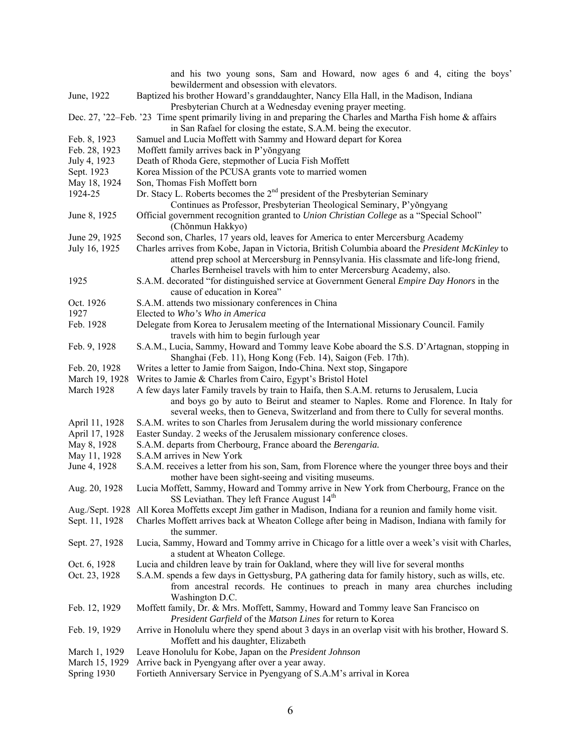| bewilderment and obsession with elevators.<br>June, 1922<br>Baptized his brother Howard's granddaughter, Nancy Ella Hall, in the Madison, Indiana<br>Presbyterian Church at a Wednesday evening prayer meeting.<br>Dec. 27, '22–Feb. '23 Time spent primarily living in and preparing the Charles and Martha Fish home & affairs<br>in San Rafael for closing the estate, S.A.M. being the executor.<br>Feb. 8, 1923<br>Samuel and Lucia Moffett with Sammy and Howard depart for Korea<br>Moffett family arrives back in P'yongyang<br>Feb. 28, 1923<br>Death of Rhoda Gere, stepmother of Lucia Fish Moffett<br>July 4, 1923<br>Korea Mission of the PCUSA grants vote to married women<br>Sept. 1923<br>Son, Thomas Fish Moffett born<br>May 18, 1924<br>Dr. Stacy L. Roberts becomes the $2nd$ president of the Presbyterian Seminary<br>1924-25<br>Continues as Professor, Presbyterian Theological Seminary, P'yongyang<br>Official government recognition granted to Union Christian College as a "Special School"<br>June 8, 1925<br>(Chŏnmun Hakkyo)<br>Second son, Charles, 17 years old, leaves for America to enter Mercersburg Academy<br>June 29, 1925<br>July 16, 1925<br>Charles arrives from Kobe, Japan in Victoria, British Columbia aboard the President McKinley to<br>attend prep school at Mercersburg in Pennsylvania. His classmate and life-long friend,<br>Charles Bernheisel travels with him to enter Mercersburg Academy, also.<br>S.A.M. decorated "for distinguished service at Government General <i>Empire Day Honors</i> in the<br>1925<br>cause of education in Korea"<br>S.A.M. attends two missionary conferences in China<br>Oct. 1926 |  |
|-------------------------------------------------------------------------------------------------------------------------------------------------------------------------------------------------------------------------------------------------------------------------------------------------------------------------------------------------------------------------------------------------------------------------------------------------------------------------------------------------------------------------------------------------------------------------------------------------------------------------------------------------------------------------------------------------------------------------------------------------------------------------------------------------------------------------------------------------------------------------------------------------------------------------------------------------------------------------------------------------------------------------------------------------------------------------------------------------------------------------------------------------------------------------------------------------------------------------------------------------------------------------------------------------------------------------------------------------------------------------------------------------------------------------------------------------------------------------------------------------------------------------------------------------------------------------------------------------------------------------------------------------------------------------------|--|
|                                                                                                                                                                                                                                                                                                                                                                                                                                                                                                                                                                                                                                                                                                                                                                                                                                                                                                                                                                                                                                                                                                                                                                                                                                                                                                                                                                                                                                                                                                                                                                                                                                                                               |  |
|                                                                                                                                                                                                                                                                                                                                                                                                                                                                                                                                                                                                                                                                                                                                                                                                                                                                                                                                                                                                                                                                                                                                                                                                                                                                                                                                                                                                                                                                                                                                                                                                                                                                               |  |
|                                                                                                                                                                                                                                                                                                                                                                                                                                                                                                                                                                                                                                                                                                                                                                                                                                                                                                                                                                                                                                                                                                                                                                                                                                                                                                                                                                                                                                                                                                                                                                                                                                                                               |  |
|                                                                                                                                                                                                                                                                                                                                                                                                                                                                                                                                                                                                                                                                                                                                                                                                                                                                                                                                                                                                                                                                                                                                                                                                                                                                                                                                                                                                                                                                                                                                                                                                                                                                               |  |
|                                                                                                                                                                                                                                                                                                                                                                                                                                                                                                                                                                                                                                                                                                                                                                                                                                                                                                                                                                                                                                                                                                                                                                                                                                                                                                                                                                                                                                                                                                                                                                                                                                                                               |  |
|                                                                                                                                                                                                                                                                                                                                                                                                                                                                                                                                                                                                                                                                                                                                                                                                                                                                                                                                                                                                                                                                                                                                                                                                                                                                                                                                                                                                                                                                                                                                                                                                                                                                               |  |
|                                                                                                                                                                                                                                                                                                                                                                                                                                                                                                                                                                                                                                                                                                                                                                                                                                                                                                                                                                                                                                                                                                                                                                                                                                                                                                                                                                                                                                                                                                                                                                                                                                                                               |  |
|                                                                                                                                                                                                                                                                                                                                                                                                                                                                                                                                                                                                                                                                                                                                                                                                                                                                                                                                                                                                                                                                                                                                                                                                                                                                                                                                                                                                                                                                                                                                                                                                                                                                               |  |
|                                                                                                                                                                                                                                                                                                                                                                                                                                                                                                                                                                                                                                                                                                                                                                                                                                                                                                                                                                                                                                                                                                                                                                                                                                                                                                                                                                                                                                                                                                                                                                                                                                                                               |  |
|                                                                                                                                                                                                                                                                                                                                                                                                                                                                                                                                                                                                                                                                                                                                                                                                                                                                                                                                                                                                                                                                                                                                                                                                                                                                                                                                                                                                                                                                                                                                                                                                                                                                               |  |
|                                                                                                                                                                                                                                                                                                                                                                                                                                                                                                                                                                                                                                                                                                                                                                                                                                                                                                                                                                                                                                                                                                                                                                                                                                                                                                                                                                                                                                                                                                                                                                                                                                                                               |  |
|                                                                                                                                                                                                                                                                                                                                                                                                                                                                                                                                                                                                                                                                                                                                                                                                                                                                                                                                                                                                                                                                                                                                                                                                                                                                                                                                                                                                                                                                                                                                                                                                                                                                               |  |
|                                                                                                                                                                                                                                                                                                                                                                                                                                                                                                                                                                                                                                                                                                                                                                                                                                                                                                                                                                                                                                                                                                                                                                                                                                                                                                                                                                                                                                                                                                                                                                                                                                                                               |  |
|                                                                                                                                                                                                                                                                                                                                                                                                                                                                                                                                                                                                                                                                                                                                                                                                                                                                                                                                                                                                                                                                                                                                                                                                                                                                                                                                                                                                                                                                                                                                                                                                                                                                               |  |
|                                                                                                                                                                                                                                                                                                                                                                                                                                                                                                                                                                                                                                                                                                                                                                                                                                                                                                                                                                                                                                                                                                                                                                                                                                                                                                                                                                                                                                                                                                                                                                                                                                                                               |  |
|                                                                                                                                                                                                                                                                                                                                                                                                                                                                                                                                                                                                                                                                                                                                                                                                                                                                                                                                                                                                                                                                                                                                                                                                                                                                                                                                                                                                                                                                                                                                                                                                                                                                               |  |
|                                                                                                                                                                                                                                                                                                                                                                                                                                                                                                                                                                                                                                                                                                                                                                                                                                                                                                                                                                                                                                                                                                                                                                                                                                                                                                                                                                                                                                                                                                                                                                                                                                                                               |  |
|                                                                                                                                                                                                                                                                                                                                                                                                                                                                                                                                                                                                                                                                                                                                                                                                                                                                                                                                                                                                                                                                                                                                                                                                                                                                                                                                                                                                                                                                                                                                                                                                                                                                               |  |
| 1927<br>Elected to Who's Who in America                                                                                                                                                                                                                                                                                                                                                                                                                                                                                                                                                                                                                                                                                                                                                                                                                                                                                                                                                                                                                                                                                                                                                                                                                                                                                                                                                                                                                                                                                                                                                                                                                                       |  |
| Feb. 1928<br>Delegate from Korea to Jerusalem meeting of the International Missionary Council. Family                                                                                                                                                                                                                                                                                                                                                                                                                                                                                                                                                                                                                                                                                                                                                                                                                                                                                                                                                                                                                                                                                                                                                                                                                                                                                                                                                                                                                                                                                                                                                                         |  |
| travels with him to begin furlough year                                                                                                                                                                                                                                                                                                                                                                                                                                                                                                                                                                                                                                                                                                                                                                                                                                                                                                                                                                                                                                                                                                                                                                                                                                                                                                                                                                                                                                                                                                                                                                                                                                       |  |
| S.A.M., Lucia, Sammy, Howard and Tommy leave Kobe aboard the S.S. D'Artagnan, stopping in<br>Feb. 9, 1928                                                                                                                                                                                                                                                                                                                                                                                                                                                                                                                                                                                                                                                                                                                                                                                                                                                                                                                                                                                                                                                                                                                                                                                                                                                                                                                                                                                                                                                                                                                                                                     |  |
| Shanghai (Feb. 11), Hong Kong (Feb. 14), Saigon (Feb. 17th).                                                                                                                                                                                                                                                                                                                                                                                                                                                                                                                                                                                                                                                                                                                                                                                                                                                                                                                                                                                                                                                                                                                                                                                                                                                                                                                                                                                                                                                                                                                                                                                                                  |  |
| Writes a letter to Jamie from Saigon, Indo-China. Next stop, Singapore<br>Feb. 20, 1928                                                                                                                                                                                                                                                                                                                                                                                                                                                                                                                                                                                                                                                                                                                                                                                                                                                                                                                                                                                                                                                                                                                                                                                                                                                                                                                                                                                                                                                                                                                                                                                       |  |
| March 19, 1928<br>Writes to Jamie & Charles from Cairo, Egypt's Bristol Hotel                                                                                                                                                                                                                                                                                                                                                                                                                                                                                                                                                                                                                                                                                                                                                                                                                                                                                                                                                                                                                                                                                                                                                                                                                                                                                                                                                                                                                                                                                                                                                                                                 |  |
| March 1928<br>A few days later Family travels by train to Haifa, then S.A.M. returns to Jerusalem, Lucia                                                                                                                                                                                                                                                                                                                                                                                                                                                                                                                                                                                                                                                                                                                                                                                                                                                                                                                                                                                                                                                                                                                                                                                                                                                                                                                                                                                                                                                                                                                                                                      |  |
| and boys go by auto to Beirut and steamer to Naples. Rome and Florence. In Italy for                                                                                                                                                                                                                                                                                                                                                                                                                                                                                                                                                                                                                                                                                                                                                                                                                                                                                                                                                                                                                                                                                                                                                                                                                                                                                                                                                                                                                                                                                                                                                                                          |  |
| several weeks, then to Geneva, Switzerland and from there to Cully for several months.                                                                                                                                                                                                                                                                                                                                                                                                                                                                                                                                                                                                                                                                                                                                                                                                                                                                                                                                                                                                                                                                                                                                                                                                                                                                                                                                                                                                                                                                                                                                                                                        |  |
| S.A.M. writes to son Charles from Jerusalem during the world missionary conference<br>April 11, 1928                                                                                                                                                                                                                                                                                                                                                                                                                                                                                                                                                                                                                                                                                                                                                                                                                                                                                                                                                                                                                                                                                                                                                                                                                                                                                                                                                                                                                                                                                                                                                                          |  |
| April 17, 1928<br>Easter Sunday. 2 weeks of the Jerusalem missionary conference closes.                                                                                                                                                                                                                                                                                                                                                                                                                                                                                                                                                                                                                                                                                                                                                                                                                                                                                                                                                                                                                                                                                                                                                                                                                                                                                                                                                                                                                                                                                                                                                                                       |  |
| May 8, 1928<br>S.A.M. departs from Cherbourg, France aboard the Berengaria.                                                                                                                                                                                                                                                                                                                                                                                                                                                                                                                                                                                                                                                                                                                                                                                                                                                                                                                                                                                                                                                                                                                                                                                                                                                                                                                                                                                                                                                                                                                                                                                                   |  |
| S.A.M arrives in New York<br>May 11, 1928                                                                                                                                                                                                                                                                                                                                                                                                                                                                                                                                                                                                                                                                                                                                                                                                                                                                                                                                                                                                                                                                                                                                                                                                                                                                                                                                                                                                                                                                                                                                                                                                                                     |  |
| S.A.M. receives a letter from his son, Sam, from Florence where the younger three boys and their<br>June 4, 1928                                                                                                                                                                                                                                                                                                                                                                                                                                                                                                                                                                                                                                                                                                                                                                                                                                                                                                                                                                                                                                                                                                                                                                                                                                                                                                                                                                                                                                                                                                                                                              |  |
| mother have been sight-seeing and visiting museums.                                                                                                                                                                                                                                                                                                                                                                                                                                                                                                                                                                                                                                                                                                                                                                                                                                                                                                                                                                                                                                                                                                                                                                                                                                                                                                                                                                                                                                                                                                                                                                                                                           |  |
| Lucia Moffett, Sammy, Howard and Tommy arrive in New York from Cherbourg, France on the<br>Aug. 20, 1928                                                                                                                                                                                                                                                                                                                                                                                                                                                                                                                                                                                                                                                                                                                                                                                                                                                                                                                                                                                                                                                                                                                                                                                                                                                                                                                                                                                                                                                                                                                                                                      |  |
| SS Leviathan. They left France August 14th                                                                                                                                                                                                                                                                                                                                                                                                                                                                                                                                                                                                                                                                                                                                                                                                                                                                                                                                                                                                                                                                                                                                                                                                                                                                                                                                                                                                                                                                                                                                                                                                                                    |  |
| All Korea Moffetts except Jim gather in Madison, Indiana for a reunion and family home visit.<br>Aug./Sept. 1928                                                                                                                                                                                                                                                                                                                                                                                                                                                                                                                                                                                                                                                                                                                                                                                                                                                                                                                                                                                                                                                                                                                                                                                                                                                                                                                                                                                                                                                                                                                                                              |  |
| Charles Moffett arrives back at Wheaton College after being in Madison, Indiana with family for<br>Sept. 11, 1928<br>the summer.                                                                                                                                                                                                                                                                                                                                                                                                                                                                                                                                                                                                                                                                                                                                                                                                                                                                                                                                                                                                                                                                                                                                                                                                                                                                                                                                                                                                                                                                                                                                              |  |
| Lucia, Sammy, Howard and Tommy arrive in Chicago for a little over a week's visit with Charles,<br>Sept. 27, 1928<br>a student at Wheaton College.                                                                                                                                                                                                                                                                                                                                                                                                                                                                                                                                                                                                                                                                                                                                                                                                                                                                                                                                                                                                                                                                                                                                                                                                                                                                                                                                                                                                                                                                                                                            |  |
| Lucia and children leave by train for Oakland, where they will live for several months<br>Oct. 6, 1928                                                                                                                                                                                                                                                                                                                                                                                                                                                                                                                                                                                                                                                                                                                                                                                                                                                                                                                                                                                                                                                                                                                                                                                                                                                                                                                                                                                                                                                                                                                                                                        |  |
| Oct. 23, 1928<br>S.A.M. spends a few days in Gettysburg, PA gathering data for family history, such as wills, etc.                                                                                                                                                                                                                                                                                                                                                                                                                                                                                                                                                                                                                                                                                                                                                                                                                                                                                                                                                                                                                                                                                                                                                                                                                                                                                                                                                                                                                                                                                                                                                            |  |
|                                                                                                                                                                                                                                                                                                                                                                                                                                                                                                                                                                                                                                                                                                                                                                                                                                                                                                                                                                                                                                                                                                                                                                                                                                                                                                                                                                                                                                                                                                                                                                                                                                                                               |  |
| from ancestral records. He continues to preach in many area churches including<br>Washington D.C.                                                                                                                                                                                                                                                                                                                                                                                                                                                                                                                                                                                                                                                                                                                                                                                                                                                                                                                                                                                                                                                                                                                                                                                                                                                                                                                                                                                                                                                                                                                                                                             |  |
| Moffett family, Dr. & Mrs. Moffett, Sammy, Howard and Tommy leave San Francisco on<br>Feb. 12, 1929<br>President Garfield of the Matson Lines for return to Korea                                                                                                                                                                                                                                                                                                                                                                                                                                                                                                                                                                                                                                                                                                                                                                                                                                                                                                                                                                                                                                                                                                                                                                                                                                                                                                                                                                                                                                                                                                             |  |
| Feb. 19, 1929<br>Arrive in Honolulu where they spend about 3 days in an overlap visit with his brother, Howard S.                                                                                                                                                                                                                                                                                                                                                                                                                                                                                                                                                                                                                                                                                                                                                                                                                                                                                                                                                                                                                                                                                                                                                                                                                                                                                                                                                                                                                                                                                                                                                             |  |
| Moffett and his daughter, Elizabeth                                                                                                                                                                                                                                                                                                                                                                                                                                                                                                                                                                                                                                                                                                                                                                                                                                                                                                                                                                                                                                                                                                                                                                                                                                                                                                                                                                                                                                                                                                                                                                                                                                           |  |
| Leave Honolulu for Kobe, Japan on the President Johnson<br>March 1, 1929<br>Arrive back in Pyengyang after over a year away.<br>March 15, 1929                                                                                                                                                                                                                                                                                                                                                                                                                                                                                                                                                                                                                                                                                                                                                                                                                                                                                                                                                                                                                                                                                                                                                                                                                                                                                                                                                                                                                                                                                                                                |  |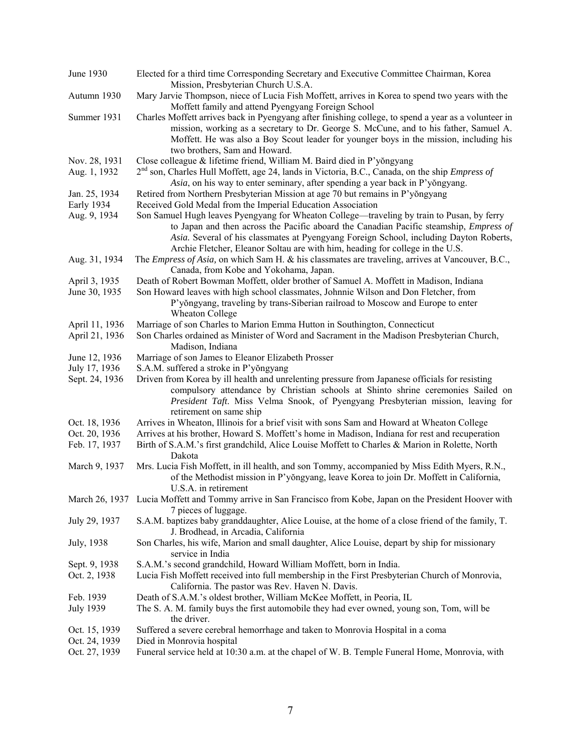| June 1930        | Elected for a third time Corresponding Secretary and Executive Committee Chairman, Korea<br>Mission, Presbyterian Church U.S.A.                                                                                                                                                                   |
|------------------|---------------------------------------------------------------------------------------------------------------------------------------------------------------------------------------------------------------------------------------------------------------------------------------------------|
| Autumn 1930      | Mary Jarvie Thompson, niece of Lucia Fish Moffett, arrives in Korea to spend two years with the<br>Moffett family and attend Pyengyang Foreign School                                                                                                                                             |
| Summer 1931      | Charles Moffett arrives back in Pyengyang after finishing college, to spend a year as a volunteer in                                                                                                                                                                                              |
|                  | mission, working as a secretary to Dr. George S. McCune, and to his father, Samuel A.                                                                                                                                                                                                             |
|                  | Moffett. He was also a Boy Scout leader for younger boys in the mission, including his<br>two brothers, Sam and Howard.                                                                                                                                                                           |
| Nov. 28, 1931    | Close colleague & lifetime friend, William M. Baird died in P'yongyang                                                                                                                                                                                                                            |
| Aug. 1, 1932     | $2nd$ son, Charles Hull Moffett, age 24, lands in Victoria, B.C., Canada, on the ship <i>Empress of</i><br>Asia, on his way to enter seminary, after spending a year back in P'yongyang.                                                                                                          |
| Jan. 25, 1934    | Retired from Northern Presbyterian Mission at age 70 but remains in P'yongyang                                                                                                                                                                                                                    |
| Early 1934       | Received Gold Medal from the Imperial Education Association                                                                                                                                                                                                                                       |
| Aug. 9, 1934     | Son Samuel Hugh leaves Pyengyang for Wheaton College—traveling by train to Pusan, by ferry                                                                                                                                                                                                        |
|                  | to Japan and then across the Pacific aboard the Canadian Pacific steamship, <i>Empress of</i>                                                                                                                                                                                                     |
|                  | Asia. Several of his classmates at Pyengyang Foreign School, including Dayton Roberts,<br>Archie Fletcher, Eleanor Soltau are with him, heading for college in the U.S.                                                                                                                           |
| Aug. 31, 1934    | The <i>Empress of Asia</i> , on which Sam H. & his classmates are traveling, arrives at Vancouver, B.C.,<br>Canada, from Kobe and Yokohama, Japan.                                                                                                                                                |
| April 3, 1935    | Death of Robert Bowman Moffett, older brother of Samuel A. Moffett in Madison, Indiana                                                                                                                                                                                                            |
| June 30, 1935    | Son Howard leaves with high school classmates, Johnnie Wilson and Don Fletcher, from                                                                                                                                                                                                              |
|                  | P'yŏngyang, traveling by trans-Siberian railroad to Moscow and Europe to enter<br>Wheaton College                                                                                                                                                                                                 |
| April 11, 1936   | Marriage of son Charles to Marion Emma Hutton in Southington, Connecticut                                                                                                                                                                                                                         |
| April 21, 1936   | Son Charles ordained as Minister of Word and Sacrament in the Madison Presbyterian Church,<br>Madison, Indiana                                                                                                                                                                                    |
| June 12, 1936    | Marriage of son James to Eleanor Elizabeth Prosser                                                                                                                                                                                                                                                |
| July 17, 1936    | S.A.M. suffered a stroke in P'yongyang                                                                                                                                                                                                                                                            |
| Sept. 24, 1936   | Driven from Korea by ill health and unrelenting pressure from Japanese officials for resisting<br>compulsory attendance by Christian schools at Shinto shrine ceremonies Sailed on<br>President Taft. Miss Velma Snook, of Pyengyang Presbyterian mission, leaving for<br>retirement on same ship |
| Oct. 18, 1936    | Arrives in Wheaton, Illinois for a brief visit with sons Sam and Howard at Wheaton College                                                                                                                                                                                                        |
| Oct. 20, 1936    | Arrives at his brother, Howard S. Moffett's home in Madison, Indiana for rest and recuperation                                                                                                                                                                                                    |
| Feb. 17, 1937    | Birth of S.A.M.'s first grandchild, Alice Louise Moffett to Charles & Marion in Rolette, North<br>Dakota                                                                                                                                                                                          |
| March 9, 1937    | Mrs. Lucia Fish Moffett, in ill health, and son Tommy, accompanied by Miss Edith Myers, R.N.,<br>of the Methodist mission in P'yongyang, leave Korea to join Dr. Moffett in California,<br>U.S.A. in retirement                                                                                   |
| March 26, 1937   | Lucia Moffett and Tommy arrive in San Francisco from Kobe, Japan on the President Hoover with<br>7 pieces of luggage.                                                                                                                                                                             |
| July 29, 1937    | S.A.M. baptizes baby granddaughter, Alice Louise, at the home of a close friend of the family, T.<br>J. Brodhead, in Arcadia, California                                                                                                                                                          |
| July, 1938       | Son Charles, his wife, Marion and small daughter, Alice Louise, depart by ship for missionary<br>service in India                                                                                                                                                                                 |
| Sept. 9, 1938    | S.A.M.'s second grandchild, Howard William Moffett, born in India.                                                                                                                                                                                                                                |
| Oct. 2, 1938     | Lucia Fish Moffett received into full membership in the First Presbyterian Church of Monrovia,<br>California. The pastor was Rev. Haven N. Davis.                                                                                                                                                 |
| Feb. 1939        | Death of S.A.M.'s oldest brother, William McKee Moffett, in Peoria, IL                                                                                                                                                                                                                            |
| <b>July 1939</b> | The S. A. M. family buys the first automobile they had ever owned, young son, Tom, will be<br>the driver.                                                                                                                                                                                         |
| Oct. 15, 1939    | Suffered a severe cerebral hemorrhage and taken to Monrovia Hospital in a coma                                                                                                                                                                                                                    |
| Oct. 24, 1939    | Died in Monrovia hospital                                                                                                                                                                                                                                                                         |
| Oct. 27, 1939    | Funeral service held at 10:30 a.m. at the chapel of W. B. Temple Funeral Home, Monrovia, with                                                                                                                                                                                                     |